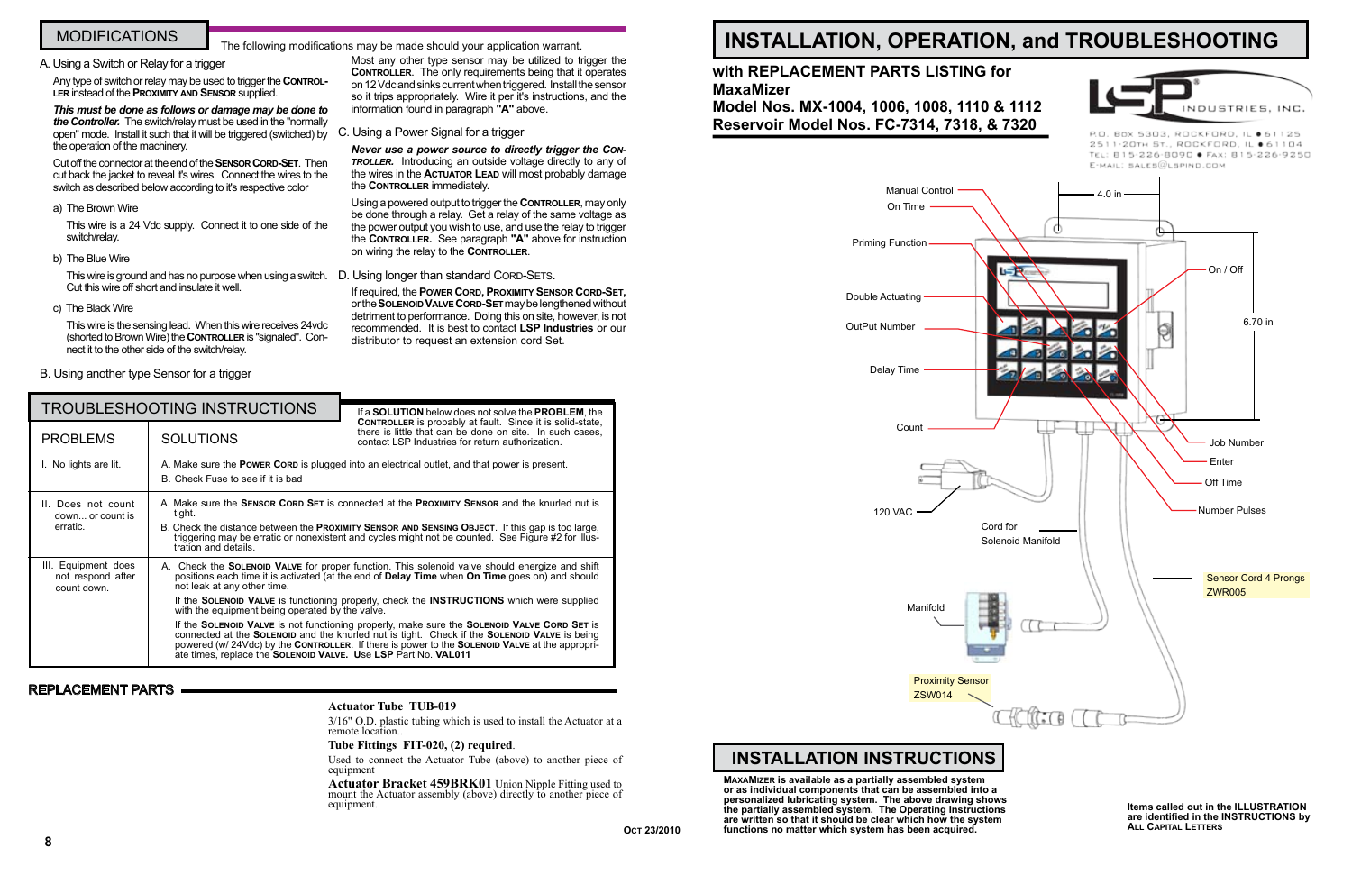**Items called out in the ILLUSTRATION are identified in the INSTRUCTIONS by All Capital Letters**

# **INSTALLATION, OPERATION, and TROUBLESHOOTING**

## **with REPLACEMENT PARTS LISTING for MaxaMizer**

**Model Nos. MX-1004, 1006, 1008, 1110 & 1112 Reservoir Model Nos. FC-7314, 7318, & 7320**

## **INSTALLATION INSTRUCTIONS**

**MaxaMizer is available as a partially assembled system or as individual components that can be assembled into a personalized lubricating system. The above drawing shows the partially assembled system. The Operating Instructions are written so that it should be clear which how the system functions no matter which system has been acquired.**





R.O. Box 5303, ROCKFORD, IL @ 61125 2511-20TH ST., ROCKFORD, IL 061104 TEL: 815-226-8090 · FAX: 815-226-9250 E-MAIL: SALES@LSPIND.COM

#### **Actuator Tube TUB-019**

3/16" O.D. plastic tubing which is used to install the Actuator at a remote location..

#### **Tube Fittings FIT-020, (2) required**.

Used to connect the Actuator Tube (above) to another piece of equipment

**Actuator Bracket 459BRK01** Union Nipple Fitting used to mount the Actuator assembly (above) directly to another piece of equipment.

This wire is ground and has no purpose when using a switch. D. Using longer than standard CORD-SETS. Cut this wire off short and insulate it well.

*Never use a power source to directly trigger the Controller.* Introducing an outside voltage directly to any of the wires in the **Actuator Lead** will most probably damage the **CONTROLLER** immediately.

#### A. Using a Switch or Relay for a trigger

Any type of switch or relay may be used to trigger the **Controller** instead of the **Proximity and Sensor** supplied.

*This must be done as follows or damage may be done to the Controller.* The switch/relay must be used in the "normally open" mode. Install it such that it will be triggered (switched) by C. Using a Power Signal for a trigger the operation of the machinery.

|                                                         | <b>TROUBLESHOOTING INSTRUCTIONS</b>                                                                                                                                                                                                                                                                                                                            | If a <b>SOLUTION</b> below does not solve the <b>PROBLEM</b> , the                                                                                                                                                                                                                                                                                                                                                                                                                                                                                                                                    |
|---------------------------------------------------------|----------------------------------------------------------------------------------------------------------------------------------------------------------------------------------------------------------------------------------------------------------------------------------------------------------------------------------------------------------------|-------------------------------------------------------------------------------------------------------------------------------------------------------------------------------------------------------------------------------------------------------------------------------------------------------------------------------------------------------------------------------------------------------------------------------------------------------------------------------------------------------------------------------------------------------------------------------------------------------|
| <b>PROBLEMS</b>                                         | <b>SOLUTIONS</b>                                                                                                                                                                                                                                                                                                                                               | <b>CONTROLLER</b> is probably at fault. Since it is solid-state,<br>there is little that can be done on site. In such cases,<br>contact LSP Industries for return authorization.                                                                                                                                                                                                                                                                                                                                                                                                                      |
| I. No lights are lit.                                   | A. Make sure the <b>Power Corp</b> is plugged into an electrical outlet, and that power is present.<br>B. Check Fuse to see if it is bad                                                                                                                                                                                                                       |                                                                                                                                                                                                                                                                                                                                                                                                                                                                                                                                                                                                       |
| II. Does not count<br>down or count is<br>erratic.      | A. Make sure the <b>SENSOR CORD SET</b> is connected at the <b>PROXIMITY SENSOR</b> and the knurled nut is<br>tight.<br>B. Check the distance between the <b>PROXIMITY SENSOR AND SENSING OBJECT</b> . If this gap is too large,<br>triggering may be erratic or nonexistent and cycles might not be counted. See Figure #2 for illus-<br>tration and details. |                                                                                                                                                                                                                                                                                                                                                                                                                                                                                                                                                                                                       |
| III. Equipment does<br>not respond after<br>count down. | not leak at any other time.<br>with the equipment being operated by the valve.<br>ate times, replace the SOLENOID VALVE. Use LSP Part No. VAL011                                                                                                                                                                                                               | A. Check the <b>SOLENOID VALVE</b> for proper function. This solenoid valve should energize and shift<br>positions each time it is activated (at the end of Delay Time when On Time goes on) and should<br>If the SOLENOID VALVE is functioning properly, check the INSTRUCTIONS which were supplied<br>If the SOLENOID VALVE is not functioning properly, make sure the SOLENOID VALVE CORD SET is<br>connected at the SOLENOID and the knurled nut is tight. Check if the SOLENOID VALVE is being<br>powered (w/ 24Vdc) by the CONTROLLER. If there is power to the SOLENOID VALVE at the appropri- |

Cut off the connector at the end of the **Sensor Cord-Set**. Then cut back the jacket to reveal it's wires. Connect the wires to the switch as described below according to it's respective color

#### a) The Brown Wire

This wire is a 24 Vdc supply. Connect it to one side of the switch/relay.

b) The Blue Wire

c) The Black Wire

This wire is the sensing lead. When this wire receives 24vdc (shorted to Brown Wire) the **Controller** is "signaled". Connect it to the other side of the switch/relay.

B. Using another type Sensor for a trigger

## MODIFICATIONS

Most any other type sensor may be utilized to trigger the **CONTROLLER.** The only requirements being that it operates on 12 Vdc and sinks current when triggered. Install the sensor so it trips appropriately. Wire it per it's instructions, and the information found in paragraph **"A"** above.

Using a powered output to trigger the **Controller**, may only be done through a relay. Get a relay of the same voltage as the power output you wish to use, and use the relay to trigger the **Controller.** See paragraph **"A"** above for instruction on wiring the relay to the **Controller**.

If required, the **Power Cord, Proximity Sensor Cord-Set,** or the **Solenoid Valve Cord-Set** may be lengthened without detriment to performance. Doing this on site, however, is not recommended. It is best to contact **LSP Industries** or our distributor to request an extension cord Set.

## The following modifications may be made should your application warrant.

### REPLACEMENT PARTS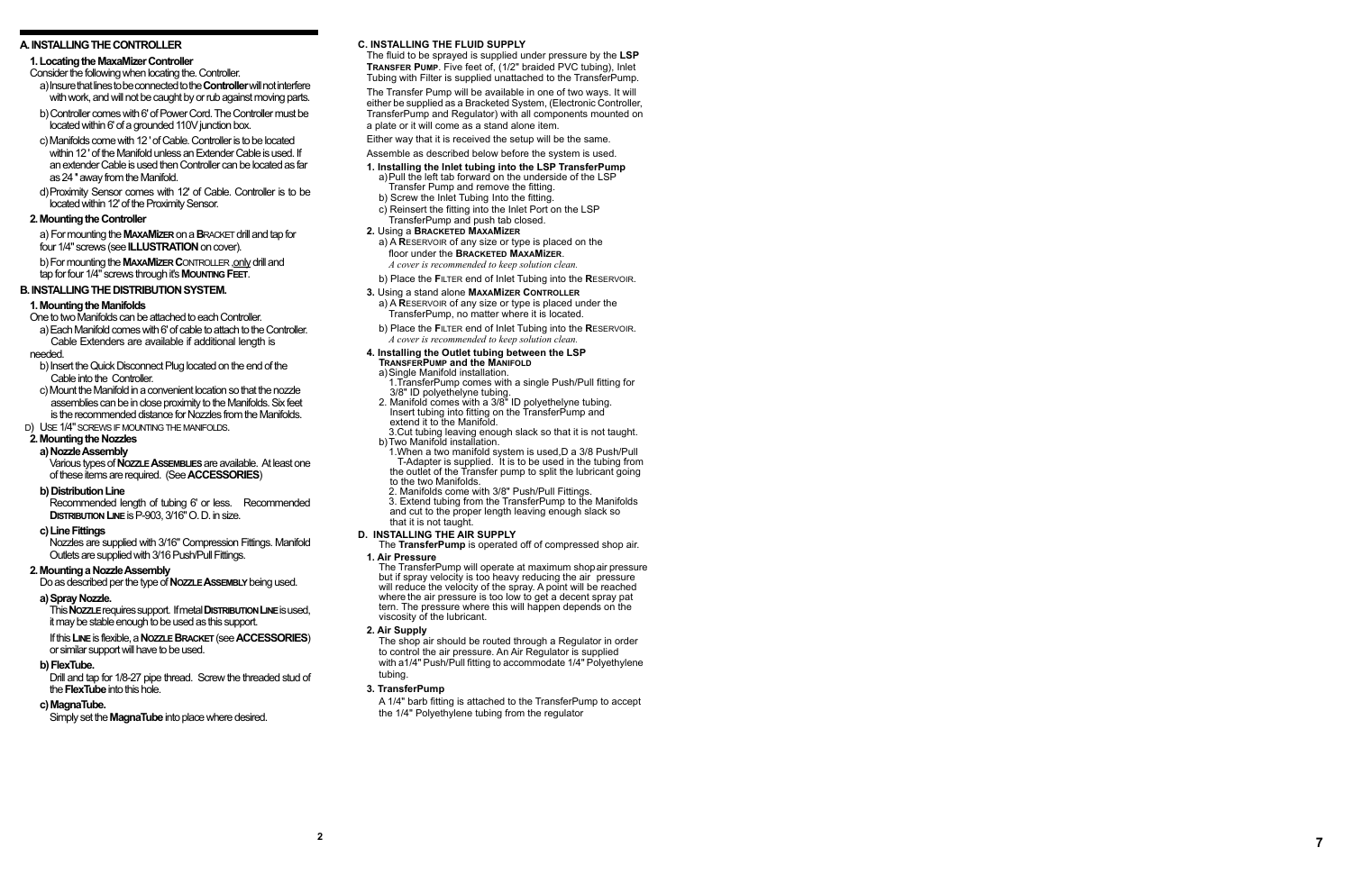#### **C. Installing t h e Fluid Supply**

The fluid to be sprayed is supplied under pressure by the **LSP r ansfer Pum p**. Five feet of, (1/2" braided PVC tubing), Inlet Tubing with Filter is supplied unattached to the TransferPump.

- Assemble as described below before the system is used.
- **1. Installing the Inlet tubing into the LSP TransferPump** a)Pull the left tab forward on the underside of the LSP Transfer Pump and remove the fitting.
- b) Screw the Inlet Tubing Into the fitting.
- c) Reinsert the fitting into the Inlet Port on the LSP TransferPump and push tab closed.
- **2.** Using a **B racketed M x M izer a a**
- a) A RESERVOIR of any size or type is placed on the floor under the Bracketed MaxaMizer. **a a** *A cover is recommended to keep solution clean.*
- b) Place the FILTER end of Inlet Tubing into the RESERVOIR.

The Transfer Pump will be available in one of two ways. It will either be supplied as a Bracketed System, (Electronic Controller, TransferPump and Regulator) with all components mounted on a plate or it will come as a stand alone item.

Either way that it is received the setup will be the same.

a) A RESERVOIR of any size or type is placed under the TransferPump, no matter where it is located.

b) Place the FILTER end of Inlet Tubing into the RESERVOIR. *A cover is recommended to keep solution clean.* 

- a)Single Manifold installation. 1.TransferPump comes with a single Push/Pull fitting for
- 3/8" ID polyethelyne tubing. 2. Manifold comes with a 3/8" ID polyethelyne tubing. Insert tubing into fitting on the TransferPump and extend it to the Manifold.

#### **3.** Using a stand alone **M x M izer Controller a a**

**1. Air Pressure** but if spray velocity is too heavy reducing the air pressure<br>will reduce the velocity of the spray. A point will be reached<br>where the air pressure is too low to get a decent spray pat<br>tern. The pressure where this will hap

#### **4. Installing the Outlet tubing between the LSP**

#### **T r ansfer Pum p and the M anifold**

 3.Cut tubing leaving enough slack so that it is not taught. b)Two Manifold installation.

1.When a two manifold system is used,D a 3/8 Push/Pull T-Adapter is supplied. It is to be used in the tubing from the outlet of the Transfer pump to split the lubricant going to the two Manifolds.

- 2. Manifolds come with 3/8" Push/Pull Fittings.
- 3. Extend tubing from the TransferPump to the Manifolds
- and cut to the proper length leaving enough slack so that it is not taught.

#### **D. Installing t h**

The **TransferPump** is operated off of compressed shop air.

**2. Air Supply**

 The shop air should be routed through a Regulator in order to control the air pressure. An Air Regulator is supplied with a1/4" Push/Pull fitting to accommodate 1/4" Polyethylene tubing.

#### **3. TransferPump**

A 1/4" barb fitting is attached to the TransferPump to accept the 1/4" Polyethylene tubing from the regulator

#### **A. INSTALLING T HE CONTROLLER**

#### **1. Locating the MaxaMizer Controller**

Consider the following when locating the. Controller.

- a) Insure that lines to be connected to the **Controller** will not interfere with work, and will not be caught by or rub against moving parts.
- b) Controller comes with 6' of Power Cord. The Controller must be located within 6' of a grounded 110V junction box.
- c) Manifolds come with 12 ' of Cable. Controller is to be located within 12 ' of the Manifold unless an Extender Cable is used. If an extender Cable is used then Controller can be located as far as 24 '' away from the Manifold.
- d)Proximity Sensor comes with 12' of Cable. Controller is to be located within 12' of the Proximity Sensor.

#### **2. Mounting the Controller**

a) For mounting the **MaxaM izer** on a **B**racket drill and tap for four 1/4" screws (see **ILLUSTRATION** on cover).

b) For mounting the **MaxaM izer C**ontroller ,only drill and tap for four 1/4" screws through it's **M o unting Feet** .

### **B. Installing t h e Distribution System .**

#### **1. Mounting the Manifolds**

One to two Manifolds can be attached to each Controller.

 a) Each Manifold comes with 6' of cable to attach to the Controller. Cable Extenders are available if additional length is

#### needed.

- b) Insert the Quick Disconnect Plug located on the end of the Cable into the Controller.
- c) Mount the Manifold in a convenient location so that the nozzle assemblies can be in close proximity to the Manifolds. Six feet is the recommended distance for Nozzles from the Manifolds.

#### D) USE 1/4" SCREWS IF MOUNTING THE MANIFOLDS.

## **2. Mounting the Nozzles**

## **a) Nozzle Assembly**

Various types of **Nozzle Asse mblies** are available. At least one of these items are required. (See **ACCESSORIES** )

#### **b) Distribution Line**

Recommended length of tubing 6' or less. Recommended **Distribution Line** is P-903, 3/16" O. D. in size.

#### **c) Line Fittings**

Nozzles are supplied with 3/16" Compression Fittings. Manifold Outlets are supplied with 3/16 Push/Pull Fittings.

#### **2. Mounting a Nozzle Assembly**

Do as described per the type of **Nozzle Asse mbly** being used.

#### **a) Spray Nozzle.**

This **Nozzle** requires support. If metal **Distrib ution Line** is used, it may be stable enough to be used as this support.

If this **Line** is flexible, a **Nozzle B racket**(see **ACCESSORIES**) or similar support will have to be used.

#### **b) FlexTube.**

Drill and tap for 1/8-27 pipe thread. Screw the threaded stud of the **FlexTube** into this hole.

#### **c) MagnaTube.**

Simply set the **MagnaTube** into place where desired.

**7**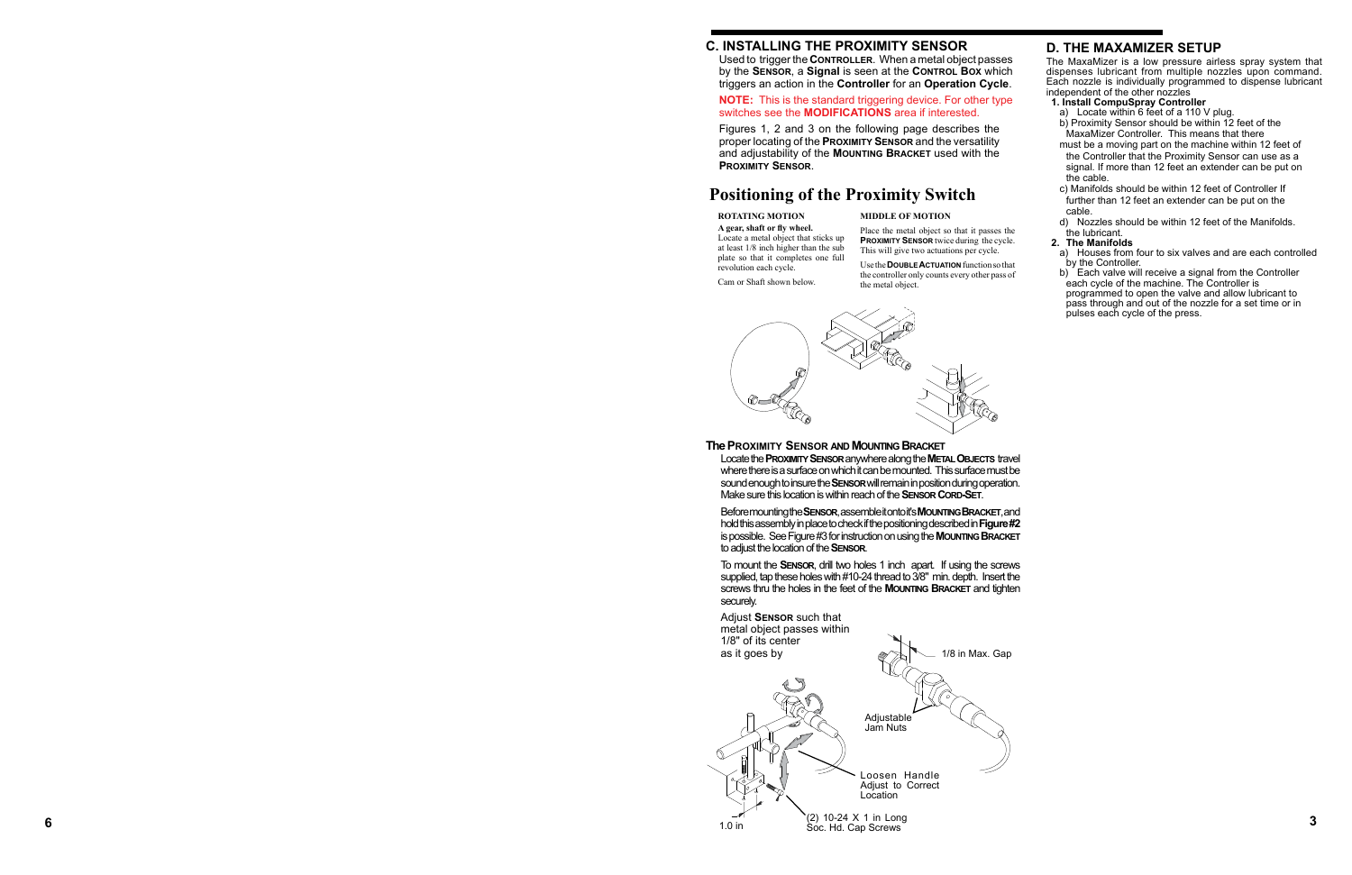#### **The Proxi mity Sensor and M o unting B racket**

Locate the **Proxi mity Sensor** anywhere along the **Metal Obje cts** travel where there is a surface on which it can be mounted. This surface must be sound enough to insure the **Sensor** will remain in position during operation. Make sure this location is within reach of the **Sensor Cord -Set** .

Before mounting the **Sensor**, assemble it onto it's **M o unting B racket**, and hold this assembly in place to check if the positioning described in **Figure #2** is possible. See Figure #3 for instruction on using the **M o unting B racket** to adjust the location of the **Sensor** .

Use the **DOUBLE ACTUATION** function so that **c** the controller only counts every other pass of the metal object.

To mount the **Sensor**, drill two holes 1 inch apart. If using the screws supplied, tap these holes with #10-24 thread to 3/8" min. depth. Insert the screws thru the holes in the feet of the **M o unting B racket** and tighten securely.

#### **NOTE:** This is the standard triggering device. For other type switches see the **MODIFICATIONS** area if interested.

## **Positioning of the Proximity Switch**

#### **ROTATING MOTION**

**A gear, shaft or fly wheel.** Locate a metal object that sticks up at least 1/8 inch higher than the sub plate so that it completes one full

revolution each cycle.



Cam or Shaft shown below.

#### **MIDDLE OF MOTION**



Place the metal object so that it passes the **PROXIMITY SENSOR** twice during the cycle. This will give two actuations per cycle.

- independent of the other nozzles<br>1. Install CompuSpray Controller
- 1. **Install Computer I**, **I**, **D** computer and **C** controller and **C** controller and **C** controller b) Proximity Sensor should be within 12 feet of the MaxaMizer Controller. This means that there
- must be a moving part on the machine within 12 feet of the Controller that the Proximity Sensor can use as a signal. If more than 12 feet an extender can be put on the cable.
- c) Manifolds should be within 12 feet of Controller If further than 12 feet an extender can be put on the cable.
- d) Nozzles should be within 12 feet of the Manifolds.

# the lubricant.<br>2. The Manifolds

- **2. The Manifolds** a) Houses from four to six valves and are each controlled
- b) Each valve will receive a signal from the Controller.<br>each cycle of the machine. The Controller is programmed to open the valve and allow lubricant to pass through and out of the nozzle for a set time or in pulses each cycle of the press.

## **C. INSTALLING THE PROXIMITY SE**

Used to trigger the **Controller**. When a metal object passes by the **Sensor**, a **Signal** is seen at the **Control Box** which triggers an action in the **Controller** for an **Operation Cycle** .

Figures 1, 2 and 3 on the following page describes the proper locating of the **Proxi mity Sensor** and the versatility and adjustability of the **M o unting B racket** used with the **Proxi mity Sensor** .

The MaxaMizer is a low pressure airless spray system that dispenses lubricant from multiple nozzles upon command. Each nozzle is individually programmed to dispense lubricant

## **D. THE MAXAMIZER S**